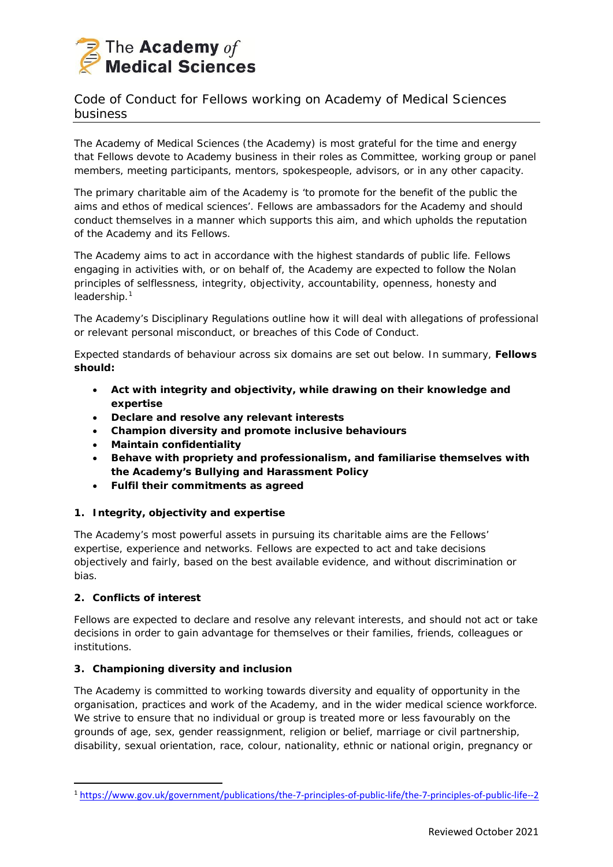

# Code of Conduct for Fellows working on Academy of Medical Sciences business

The Academy of Medical Sciences (the Academy) is most grateful for the time and energy that Fellows devote to Academy business in their roles as Committee, working group or panel members, meeting participants, mentors, spokespeople, advisors, or in any other capacity.

The primary charitable aim of the Academy is *'to promote for the benefit of the public the aims and ethos of medical sciences'*. Fellows are ambassadors for the Academy and should conduct themselves in a manner which supports this aim, and which upholds the reputation of the Academy and its Fellows.

The Academy aims to act in accordance with the highest standards of public life. Fellows engaging in activities with, or on behalf of, the Academy are expected to follow the Nolan principles of selflessness, integrity, objectivity, accountability, openness, honesty and leadership.<sup>[1](#page-0-0)</sup>

The Academy's Disciplinary Regulations outline how it will deal with allegations of professional or relevant personal misconduct, or breaches of this Code of Conduct.

Expected standards of behaviour across six domains are set out below. In summary, **Fellows should:**

- **Act with integrity and objectivity, while drawing on their knowledge and expertise**
- **Declare and resolve any relevant interests**
- **Champion diversity and promote inclusive behaviours**
- **Maintain confidentiality**
- **Behave with propriety and professionalism, and familiarise themselves with the Academy's Bullying and Harassment Policy**
- **Fulfil their commitments as agreed**

## *1. Integrity, objectivity and expertise*

The Academy's most powerful assets in pursuing its charitable aims are the Fellows' expertise, experience and networks. Fellows are expected to act and take decisions objectively and fairly, based on the best available evidence, and without discrimination or bias.

## *2. Conflicts of interest*

Fellows are expected to declare and resolve any relevant interests, and should not act or take decisions in order to gain advantage for themselves or their families, friends, colleagues or institutions.

## *3. Championing diversity and inclusion*

The Academy is committed to working towards diversity and equality of opportunity in the organisation, practices and work of the Academy, and in the wider medical science workforce. We strive to ensure that no individual or group is treated more or less favourably on the grounds of age, sex, gender reassignment, religion or belief, marriage or civil partnership, disability, sexual orientation, race, colour, nationality, ethnic or national origin, pregnancy or

<span id="page-0-0"></span><sup>1</sup> <https://www.gov.uk/government/publications/the-7-principles-of-public-life/the-7-principles-of-public-life--2>